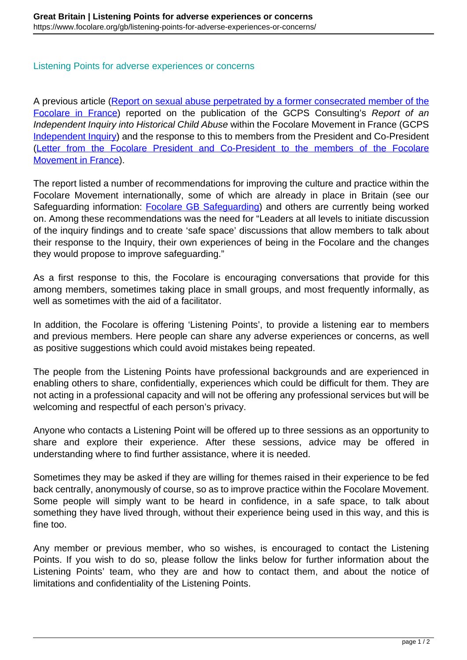## Listening Points for adverse experiences or concerns

A previous article ([Report on sexual abuse perpetrated by a former consecrated member of the](https://www.focolare.org/gb/report-on-sexual-abuse-perpetrated-by-a-former-consecrated-member-of-the-focolare-in-france/) [Focolare in France\)](https://www.focolare.org/gb/report-on-sexual-abuse-perpetrated-by-a-former-consecrated-member-of-the-focolare-in-france/) reported on the publication of the GCPS Consulting's Report of an Independent Inquiry into Historical Child Abuse within the Focolare Movement in France (GCPS Independent Inquiry) and the response to this to members from the President and Co-President (Letter from the Focolare President and Co-President to the members of the Focolare Movement in France).

The report listed a number of recommendations for improving the culture and practice within the Focolare Movement internationally, some of which are already in place in Britain (see our Safeguarding information: **Focolare GB Safeguarding**) and others are currently being worked on. Among these recommendations was the need for "Leaders at all levels to initiate discussion of the inquiry findings and to create 'safe space' discussions that allow members to talk about their response to the Inquiry, their own experiences of being in the Focolare and the changes they would propose to improve safeguarding."

As a first response to this, the Focolare is encouraging conversations that provide for this among members, sometimes taking place in small groups, and most frequently informally, as well as sometimes with the aid of a facilitator.

In addition, the Focolare is offering 'Listening Points', to provide a listening ear to members and previous members. Here people can share any adverse experiences or concerns, as well as positive suggestions which could avoid mistakes being repeated.

The people from the Listening Points have professional backgrounds and are experienced in enabling others to share, confidentially, experiences which could be difficult for them. They are not acting in a professional capacity and will not be offering any professional services but will be welcoming and respectful of each person's privacy.

Anyone who contacts a Listening Point will be offered up to three sessions as an opportunity to share and explore their experience. After these sessions, advice may be offered in understanding where to find further assistance, where it is needed.

Sometimes they may be asked if they are willing for themes raised in their experience to be fed back centrally, anonymously of course, so as to improve practice within the Focolare Movement. Some people will simply want to be heard in confidence, in a safe space, to talk about something they have lived through, without their experience being used in this way, and this is fine too.

Any member or previous member, who so wishes, is encouraged to contact the Listening Points. If you wish to do so, please follow the links below for further information about the Listening Points' team, who they are and how to contact them, and about the notice of limitations and confidentiality of the Listening Points.